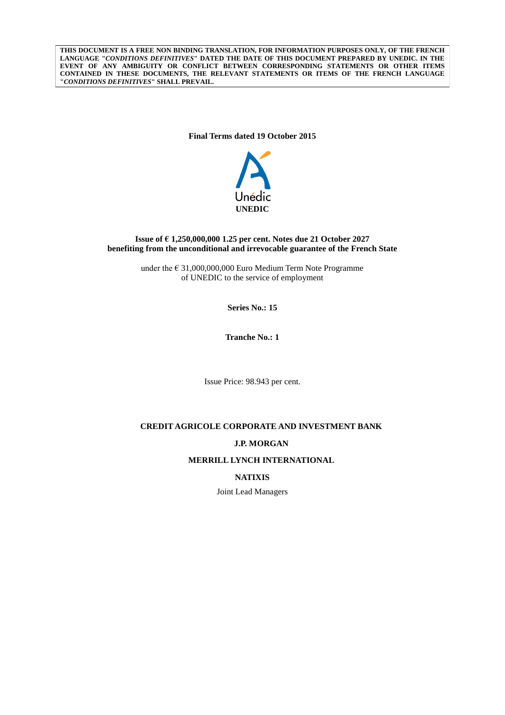**THIS DOCUMENT IS A FREE NON BINDING TRANSLATION, FOR INFORMATION PURPOSES ONLY, OF THE FRENCH LANGUAGE "***CONDITIONS DEFINITIVES***" DATED THE DATE OF THIS DOCUMENT PREPARED BY UNEDIC. IN THE EVENT OF ANY AMBIGUITY OR CONFLICT BETWEEN CORRESPONDING STATEMENTS OR OTHER ITEMS CONTAINED IN THESE DOCUMENTS, THE RELEVANT STATEMENTS OR ITEMS OF THE FRENCH LANGUAGE "***CONDITIONS DEFINITIVES***" SHALL PREVAIL.**

## **Final Terms dated 19 October 2015**



## **Issue of € 1,250,000,000 1.25 per cent. Notes due 21 October 2027 benefiting from the unconditional and irrevocable guarantee of the French State**

under the  $\epsilon$  31,000,000,000 Euro Medium Term Note Programme of UNEDIC to the service of employment

**Series No.: 15**

**Tranche No.: 1**

Issue Price: 98.943 per cent.

# **CREDIT AGRICOLE CORPORATE AND INVESTMENT BANK**

## **J.P. MORGAN**

**MERRILL LYNCH INTERNATIONAL**

## **NATIXIS**

Joint Lead Managers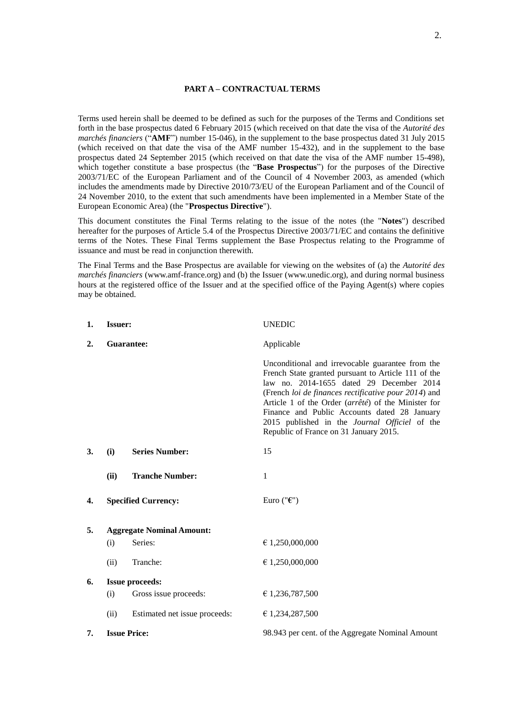## **PART A – CONTRACTUAL TERMS**

Terms used herein shall be deemed to be defined as such for the purposes of the Terms and Conditions set forth in the base prospectus dated 6 February 2015 (which received on that date the visa of the *Autorité des marchés financiers* ("**AMF**") number 15-046), in the supplement to the base prospectus dated 31 July 2015 (which received on that date the visa of the AMF number 15-432), and in the supplement to the base prospectus dated 24 September 2015 (which received on that date the visa of the AMF number 15-498), which together constitute a base prospectus (the "**Base Prospectus**") for the purposes of the Directive 2003/71/EC of the European Parliament and of the Council of 4 November 2003, as amended (which includes the amendments made by Directive 2010/73/EU of the European Parliament and of the Council of 24 November 2010, to the extent that such amendments have been implemented in a Member State of the European Economic Area) (the "**Prospectus Directive**").

This document constitutes the Final Terms relating to the issue of the notes (the "**Notes**") described hereafter for the purposes of Article 5.4 of the Prospectus Directive 2003/71/EC and contains the definitive terms of the Notes. These Final Terms supplement the Base Prospectus relating to the Programme of issuance and must be read in conjunction therewith.

The Final Terms and the Base Prospectus are available for viewing on the websites of (a) the *Autorité des marchés financiers* (www.amf-france.org) and (b) the Issuer (www.unedic.org), and during normal business hours at the registered office of the Issuer and at the specified office of the Paying Agent(s) where copies may be obtained.

| 1. | <b>Issuer:</b>                   |                               | <b>UNEDIC</b>                                                                                                                                                                                                                                                                                                                                                                                                 |
|----|----------------------------------|-------------------------------|---------------------------------------------------------------------------------------------------------------------------------------------------------------------------------------------------------------------------------------------------------------------------------------------------------------------------------------------------------------------------------------------------------------|
| 2. | Guarantee:                       |                               | Applicable                                                                                                                                                                                                                                                                                                                                                                                                    |
|    |                                  |                               | Unconditional and irrevocable guarantee from the<br>French State granted pursuant to Article 111 of the<br>law no. 2014-1655 dated 29 December 2014<br>(French loi de finances rectificative pour 2014) and<br>Article 1 of the Order (arrêté) of the Minister for<br>Finance and Public Accounts dated 28 January<br>2015 published in the Journal Officiel of the<br>Republic of France on 31 January 2015. |
| 3. | (i)                              | <b>Series Number:</b>         | 15                                                                                                                                                                                                                                                                                                                                                                                                            |
|    | (ii)                             | <b>Tranche Number:</b>        | 1                                                                                                                                                                                                                                                                                                                                                                                                             |
| 4. |                                  | <b>Specified Currency:</b>    | Euro (" $\epsilon$ ")                                                                                                                                                                                                                                                                                                                                                                                         |
| 5. | <b>Aggregate Nominal Amount:</b> |                               |                                                                                                                                                                                                                                                                                                                                                                                                               |
|    | (i)                              | Series:                       | € 1,250,000,000                                                                                                                                                                                                                                                                                                                                                                                               |
|    | (ii)                             | Tranche:                      | € 1,250,000,000                                                                                                                                                                                                                                                                                                                                                                                               |
| 6. | <b>Issue proceeds:</b>           |                               |                                                                                                                                                                                                                                                                                                                                                                                                               |
|    | (i)                              | Gross issue proceeds:         | € 1,236,787,500                                                                                                                                                                                                                                                                                                                                                                                               |
|    | (ii)                             | Estimated net issue proceeds: | € 1,234,287,500                                                                                                                                                                                                                                                                                                                                                                                               |
| 7. | <b>Issue Price:</b>              |                               | 98.943 per cent. of the Aggregate Nominal Amount                                                                                                                                                                                                                                                                                                                                                              |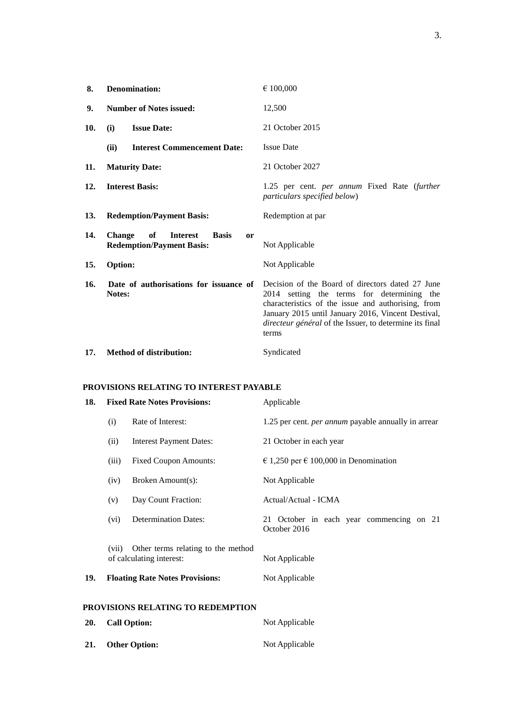| 8.  | <b>Denomination:</b>                                                                                        | € 100,000                                                                                                                                                                                                                                                                      |
|-----|-------------------------------------------------------------------------------------------------------------|--------------------------------------------------------------------------------------------------------------------------------------------------------------------------------------------------------------------------------------------------------------------------------|
| 9.  | <b>Number of Notes issued:</b>                                                                              | 12,500                                                                                                                                                                                                                                                                         |
| 10. | <b>Issue Date:</b><br>(i)                                                                                   | 21 October 2015                                                                                                                                                                                                                                                                |
|     | (ii)<br><b>Interest Commencement Date:</b>                                                                  | <b>Issue Date</b>                                                                                                                                                                                                                                                              |
| 11. | <b>Maturity Date:</b>                                                                                       | 21 October 2027                                                                                                                                                                                                                                                                |
| 12. | <b>Interest Basis:</b>                                                                                      | 1.25 per cent. <i>per annum</i> Fixed Rate (further<br>particulars specified below)                                                                                                                                                                                            |
| 13. | <b>Redemption/Payment Basis:</b>                                                                            | Redemption at par                                                                                                                                                                                                                                                              |
| 14. | <b>Change</b><br>of<br><b>Interest</b><br><b>Basis</b><br><sub>or</sub><br><b>Redemption/Payment Basis:</b> | Not Applicable                                                                                                                                                                                                                                                                 |
| 15. | Option:                                                                                                     | Not Applicable                                                                                                                                                                                                                                                                 |
| 16. | Date of authorisations for issuance of<br>Notes:                                                            | Decision of the Board of directors dated 27 June<br>2014 setting the terms for determining the<br>characteristics of the issue and authorising, from<br>January 2015 until January 2016, Vincent Destival,<br>directeur général of the Issuer, to determine its final<br>terms |
| 17. | <b>Method of distribution:</b>                                                                              | Syndicated                                                                                                                                                                                                                                                                     |

## **PROVISIONS RELATING TO INTEREST PAYABLE**

| 18. | <b>Fixed Rate Notes Provisions:</b>                                     |                                        | Applicable                                                 |
|-----|-------------------------------------------------------------------------|----------------------------------------|------------------------------------------------------------|
|     | (i)                                                                     | Rate of Interest:                      | 1.25 per cent. <i>per annum</i> payable annually in arrear |
|     | (ii)                                                                    | <b>Interest Payment Dates:</b>         | 21 October in each year                                    |
|     | (iii)                                                                   | <b>Fixed Coupon Amounts:</b>           | € 1,250 per € 100,000 in Denomination                      |
|     | (iv)                                                                    | Broken Amount(s):                      | Not Applicable                                             |
|     | (v)                                                                     | Day Count Fraction:                    | Actual/Actual - ICMA                                       |
|     | (vi)                                                                    | <b>Determination Dates:</b>            | 21 October in each year commencing on 21<br>October 2016   |
|     | Other terms relating to the method<br>(vii)<br>of calculating interest: |                                        | Not Applicable                                             |
| 19. |                                                                         | <b>Floating Rate Notes Provisions:</b> | Not Applicable                                             |
|     |                                                                         | PROVISIONS RELATING TO REDEMPTION      |                                                            |
| 20. |                                                                         | <b>Call Option:</b>                    | Not Applicable                                             |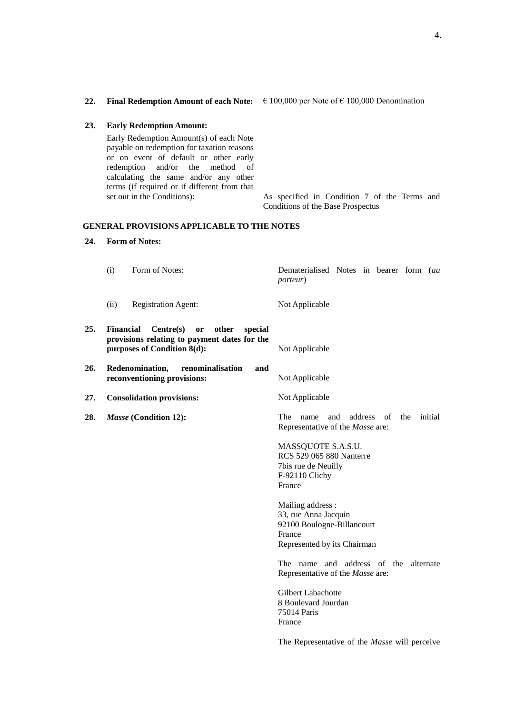#### **23. Early Redemption Amount:**

Early Redemption Amount(s) of each Note payable on redemption for taxation reasons or on event of default or other early redemption and/or the method of calculating the same and/or any other terms (if required or if different from that

set out in the Conditions): As specified in Condition 7 of the Terms and Conditions of the Base Prospectus

#### **GENERAL PROVISIONS APPLICABLE TO THE NOTES**

### **24. Form of Notes:**

(i) Form of Notes: Dematerialised Notes in bearer form (*au porteur*) (ii) Registration Agent: Not Applicable **25. Financial Centre(s) or other special provisions relating to payment dates for the purposes of Condition 8(d):** Not Applicable **26. Redenomination, renominalisation and reconventioning provisions:** Not Applicable **27. Consolidation provisions:** Not Applicable **28.** *Masse* **(Condition 12):** The name and address of the initial Representative of the *Masse* are: MASSQUOTE S.A.S.U. RCS 529 065 880 Nanterre 7bis rue de Neuilly F-92110 Clichy France Mailing address : 33, rue Anna Jacquin 92100 Boulogne-Billancourt France Represented by its Chairman The name and address of the alternate Representative of the *Masse* are: Gilbert Labachotte 8 Boulevard Jourdan 75014 Paris France The Representative of the *Masse* will perceive

**22. Final Redemption Amount of each Note:**  $\epsilon$  100,000 per Note of  $\epsilon$  100,000 Denomination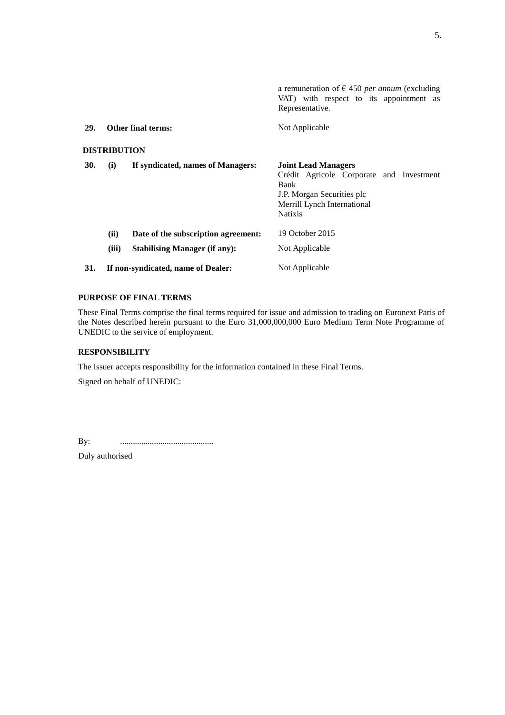a remuneration of € 450 *per annum* (excluding VAT) with respect to its appointment as Representative. **29. Other final terms:** Not Applicable **DISTRIBUTION 30. (i) If syndicated, names of Managers: Joint Lead Managers** Crédit Agricole Corporate and Investment Bank J.P. Morgan Securities plc Merrill Lynch International Natixis **(ii) Date of the subscription agreement:** 19 October 2015 (iii) **Stabilising Manager (if any):** Not Applicable **31. If non-syndicated, name of Dealer:** Not Applicable

## **PURPOSE OF FINAL TERMS**

These Final Terms comprise the final terms required for issue and admission to trading on Euronext Paris of the Notes described herein pursuant to the Euro 31,000,000,000 Euro Medium Term Note Programme of UNEDIC to the service of employment.

## **RESPONSIBILITY**

The Issuer accepts responsibility for the information contained in these Final Terms.

Signed on behalf of UNEDIC:

By: ............................................

Duly authorised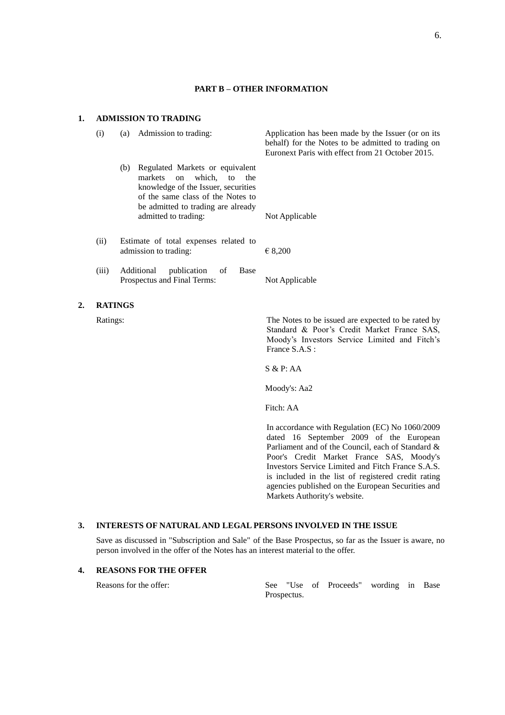## **PART B – OTHER INFORMATION**

(i) (a) Admission to trading: Application has been made by the Issuer (or on its

### **1. ADMISSION TO TRADING**

|       |                                                                                                                                                                                                                 | behalf) for the Notes to be admitted to trading on<br>Euronext Paris with effect from 21 October 2015. |
|-------|-----------------------------------------------------------------------------------------------------------------------------------------------------------------------------------------------------------------|--------------------------------------------------------------------------------------------------------|
|       | Regulated Markets or equivalent<br>(b)<br>markets on which, to<br>the<br>knowledge of the Issuer, securities<br>of the same class of the Notes to<br>be admitted to trading are already<br>admitted to trading: | Not Applicable                                                                                         |
| (ii)  | Estimate of total expenses related to<br>admission to trading:                                                                                                                                                  | $\epsilon$ 8,200                                                                                       |
| (iii) | publication<br>Additional<br>Base<br>of<br>Prospectus and Final Terms:                                                                                                                                          | Not Applicable                                                                                         |

## **2. RATINGS**

Ratings: The Notes to be issued are expected to be rated by Standard & Poor's Credit Market France SAS, Moody's Investors Service Limited and Fitch's France S.A.S :

S & P: AA

Moody's: Aa2

Fitch: AA

In accordance with Regulation (EC) No 1060/2009 dated 16 September 2009 of the European Parliament and of the Council, each of Standard & Poor's Credit Market France SAS, Moody's Investors Service Limited and Fitch France S.A.S. is included in the list of registered credit rating agencies published on the European Securities and Markets Authority's website.

## **3. INTERESTS OF NATURAL AND LEGAL PERSONS INVOLVED IN THE ISSUE**

Save as discussed in "Subscription and Sale" of the Base Prospectus, so far as the Issuer is aware, no person involved in the offer of the Notes has an interest material to the offer.

## **4. REASONS FOR THE OFFER**

Reasons for the offer: See "Use of Proceeds" wording in Base Prospectus.